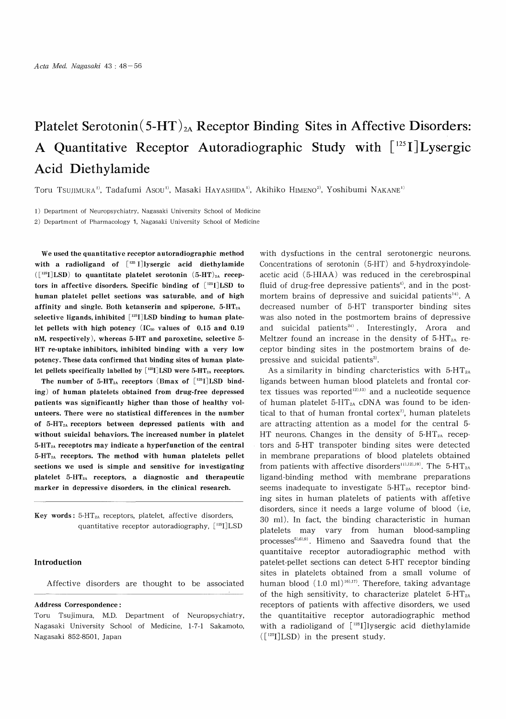# Platelet Serotonin  $(5-HT)_{2A}$  Receptor Binding Sites in Affective Disorders: A Quantitative Receptor Autoradiographic Study with  $[125]$  Lysergic Acid Diethylamide

Toru TSUJIMURA<sup>1)</sup>, Tadafumi Asou<sup>1)</sup>, Masaki HAYASHIDA<sup>1)</sup>, Akihiko HIMENO<sup>2)</sup>, Yoshibumi NAKANE<sup>1)</sup>

1) Department of Neuropsychiatry, Nagasaki University School of Medicine

2) Department of Pharmacology 1, Nagasaki University School of Medicine

We used the quantitative receptor autoradiographic method with a radioligand of  $[$ <sup>125</sup> I]lysergic acid diethylamide  $([1^{25}I]$ LSD) to quantitate platelet serotonin  $(5-HT)_{2A}$  receptors in affective disorders. Specific binding of [125I]LSD to human platelet pellet sections was saturable, and of high affinity and single. Both ketanserin and spiperone, 5-HT2A selective ligands, inhibited [<sup>125</sup>I]LSD binding to human platelet pellets with high potency  $(IC_{50}$  values of 0.15 and 0.19 nM, respectively), whereas 5-HT and paroxetine, selective 5- HT re-uptake inhibitors, inhibited binding with a very low potency. These data confirmed that binding sites of human platelet pellets specifically labelled by  $[^{125}I]LSD$  were 5-HT<sub>2A</sub> receptors.

The number of 5-HT<sub>2A</sub> receptors (Bmax of  $[$ <sup>125</sup>I]LSD binding) of human platelets obtained from drug-free depressed patients was significantly higher than those of healthy volunteers. There were no statistical differences in the number of 5-HT2A receptors between depressed patients with and without suicidal behaviors. The increased number in platelet 5-HT2A receptotrs may indicate a hyperfunction of the central  $5-HT<sub>2A</sub>$  receptors. The method with human platelets pellet sections we used is simple and sensitive for investigating platelet 5-HT2A receptors, a diagnostic and therapeutic marker in depressive disorders, in the clinical research.

Key words:  $5-HT<sub>2A</sub>$  receptors, platelet, affective disorders, quantitative receptor autoradiography, [ 125I] LSD

## Introduction

Affective disorders are thought to be associated

### Address Correspondence :

Toru Tsujimura, M.D. Department of Neuropsychiatry, Nagasaki University School of Medicine, 1-7-1 Sakamoto, Nagasaki 852-8501, Japan

with dysfuctions in the central serotonergic neurons. Concentrations of serotonin (5-HT) and 5-hydroxyindoleacetic acid (5-HIAA) was reduced in the cerebrospinal fluid of drug-free depressive patients'), and in the postmortem brains of depressive and suicidal patients<sup>14)</sup>. A decreased number of 5-HT transporter binding sites was also noted in the postmortem brains of depressive and suicidal patients $^{24)}$ . Interestingly, Arora and Meltzer found an increase in the density of  $5-HT_{2A}$  receptor binding sites in the postmortem brains of depressive and suicidal patients').

As a similarity in binding charcteristics with  $5-HT<sub>2A</sub>$ ligands between human blood platelets and frontal cortex tissues was reported $12,13)$  and a nucleotide sequence of human platelet  $5-HT_{2A}$  cDNA was found to be identical to that of human frontal cortex<sup> $\tau$ </sup>, human platelets are attracting attention as a model for the central 5- HT neurons. Changes in the density of  $5-HT_{2A}$  receptors and 5-HT transpoter binding sites were detected in membrane preparations of blood platelets obtained from patients with affective disorders<sup>11),12),19)</sup>. The 5-HT<sub>2A</sub> ligand-binding method with membrane preparations seems inadequate to investigate  $5-HT_{2A}$  receptor binding sites in human platelets of patients with affetive disorders, since it needs a large volume of blood (i.e, 30 ml). In fact, the binding characteristic in human platelets may vary from human blood-sampling processes<sup>5),6),9)</sup>. Himeno and Saavedra found that the quantitaive receptor autoradiographic method with patelet-pellet sections can detect 5-HT receptor binding sites in platelets obtained from a small volume of human blood  $(1.0 \text{ ml})^{16,17}$ . Therefore, taking advantage of the high sensitivity, to characterize platelet  $5-HT<sub>2A</sub>$ receptors of patients with affective disorders, we used the quantitaitive receptor autoradiographic method with a radioligand of  $[125]$  lysergic acid diethylamide ([1211]LSD) in the present study.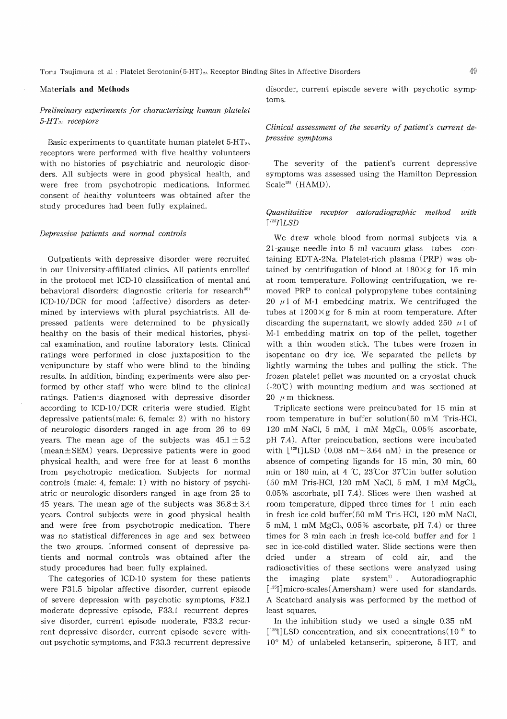## Materials and Methods

# Preliminary experiments for characterizing human platelet  $5$ -HT<sub>2A</sub> receptors

Basic experiments to quantitate human platelet  $5-HT_{2A}$ receptors were performed with five healthy volunteers with no histories of psychiatric and neurologic disorders. All subjects were in good physical health, and were free from psychotropic medications. Informed consent of healthy volunteers was obtained after the study procedures had been fully explained.

#### Depressive patients and normal controls

Outpatients with depressive disorder were recruited in our University-affiliated clinics. All patients enrolled in the protocol met ICD-10 classification of mental and behavioral disorders: diagnostic criteria for research<sup>25)</sup> ICD-10/DCR for mood (affective) disorders as determined by interviews with plural psychiatrists. All depressed patients were determined to be physically healthy on the basis of their medical histories, physical examination, and routine laboratory tests. Clinical ratings were performed in close juxtaposition to the venipuncture by staff who were blind to the binding results. In addition, binding experiments were also performed by other staff who were blind to the clinical ratings. Patients diagnosed with depressive disorder according to ICD-10/DCR criteria were studied. Eight depressive patients(male: 6, female: 2) with no history of neurologic disorders ranged in age from 26 to 69 years. The mean age of the subjects was  $45.1 \pm 5.2$  $(mean \pm SEM)$  years. Depressive patients were in good physical health, and were free for at least 6 months from psychotropic medication. Subjects for normal controls (male: 4, female: 1) with no history of psychiatric or neurologic disorders ranged in age from 25 to 45 years. The mean age of the subjects was  $36.8 \pm 3.4$ years. Control subjects were in good physical health and were free from psychotropic medication. There was no statistical differences in age and sex between the two groups. Informed consent of depressive patients and normal controls was obtained after the study procedures had been fully explained.

The categories of ICD-10 system for these patients were F31.5 bipolar affective disorder, current episode of severe depression with psychotic symptoms, F32.1 moderate depressive episode, F33.1 recurrent depressive disorder, current episode moderate, F33.2 recurrent depressive disorder, current episode severe without psychotic symptoms, and F33.3 recurrent depressive disorder, current episode severe with psychotic symptoms.

## Clinical assessment of the severity of patient's current depressive symptoms

The severity of the patient's current depressive symptoms was assessed using the Hamilton Depression Scale<sup>15)</sup> (HAMD).

## Quantitaitive receptor autoradiographic method with  $\lceil$ <sup>125</sup>*I*]LSD

We drew whole blood from normal subjects via a 21-gauge needle into 5 ml vacuum glass tubes containing EDTA-2Na. Platelet-rich plasma (PRP) was obtained by centrifugation of blood at  $180 \times g$  for 15 min at room temperature. Following centrifugation, we removed PRP to conical polypropylene tubes containing 20  $\mu$ 1 of M-1 embedding matrix. We centrifuged the tubes at  $1200 \times g$  for 8 min at room temperature. After discarding the supernatant, we slowly added 250  $\mu$ 1 of M-1 embedding matrix on top of the pellet, together with a thin wooden stick. The tubes were frozen in isopentane on dry ice. We separated the pellets by lightly warming the tubes and pulling the stick. The frozen platelet pellet was mounted on a cryostat chuck  $(-20^{\circ}\text{C})$  with mounting medium and was sectioned at 20  $\mu$  m thickness.

Triplicate sections were preincubated for 15 min at room temperature in buffer solution(50 mM Tris-HCI, 120 mM NaCl, 5 mM, 1 mM MgCl<sub>2</sub>,  $0.05\%$  ascorbate, pH 7.4). After preincubation, sections were incubated with  $[1^{25}I]$ LSD (0.08 nM $\sim$ 3.64 nM) in the presence or absence of competing ligands for 15 min, 30 min, 60 min or 180 min, at 4 °C, 23°Cor 37Cin buffer solution  $(50 \text{ mM Tris-HCl}, 120 \text{ mM NaCl}, 5 \text{ mM}, 1 \text{ mM MgCl}_2$ 0.05% ascorbate, pH 7.4). Slices were then washed at room temperature, dipped three times for 1 min each in fresh ice-cold buffer(50 mM Tris-HCI, 120 mM NaCl, 5 mM, 1 mM  $MgCl<sub>2</sub>$ , 0.05% ascorbate, pH 7.4) or three times for 3 min each in fresh ice-cold buffer and for 1 sec in ice-cold distilled water. Slide sections were then dried under a stream of cold air, and the radioactivities of these sections were analyzed using the imaging plate system') . Autoradiographic [<sup>125</sup>I]micro-scales(Amersham) were used for standards. A Scatchard analysis was performed by the method of least squares.

In the inhibition study we used a single 0.35 nM  $[1^{25}I]$ LSD concentration, and six concentrations $(10^{10}$  to  $10<sup>5</sup>$  M) of unlabeled ketanserin, spiperone, 5-HT, and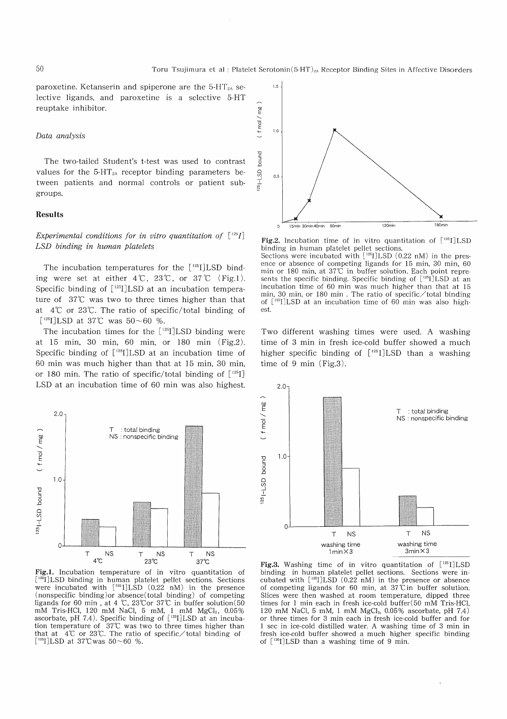paroxetine. Ketanserin and spiperone are the  $5-HT_{2A}$  selective ligands, and paroxetine is a selective 5-HT reuptake inhibitor.

## Data analysis

The two-tailed Student's t-test was used to contrast values for the  $5-HT_{2A}$  receptor binding parameters between patients and normal controls or patient subgroups.

### Results

# Experimental conditions for in vitro quantitation of  $\lceil \frac{125}{1} \rceil$ LSD binding in human platelets

The incubation temperatures for the  $[125]$ LSD binding were set at either  $4\degree$ C,  $23\degree$ C, or  $37\degree$ C (Fig.1). Specific binding of [<sup>125</sup>I]LSD at an incubation temperature of 37°C was two to three times higher than that at 4°C or 23°C. The ratio of specific/total binding of  $[$ <sup>125</sup>I]LSD at 37°C was 50~60 %.

The incubation times for the  $[125]$ LSD binding were at 15 min, 30 min, 60 min, or 180 min (Fig.2). Specific binding of  $\lceil$ <sup>125</sup>I]LSD at an incubation time of 60 min was much higher than that at 15 min, 30 min, or 180 min. The ratio of specific/total binding of  $[125]$ LSD at an incubation time of 60 min was also highest.



Fig.l. Incubation temperature of in vitro quantitation of <sup>[125</sup>I]LSD binding in human platelet pellet sections. Sections were incubated with  $[125]$ LSD (0.22 nM) in the presence (nonspecific binding)or absence(total binding) of competing ligands for 60 min, at 4 °C, 23°Cor 37°C in buffer solution(50 mM Tris-HCl, 120 mM NaCl, 5 mM, 1 mM MgCl<sub>2</sub>, 0.05% ascorbate, pH 7.4). Specific binding of  $[125]$ LSD at an incuba tion temperature of 37°C was two to three times higher than that at 4<sup>°</sup>C or 23<sup>°</sup>C. The ratio of specific total binding of  $[$ <sup>125</sup>I]LSD at 37°C was 50~60 %.



Fig.2. Incubation time of in vitro quantitation of  $[125]$ LSD binding in human platelet pellet sections. Sections were incubated with  $[^{125}I]LSD (0.22 nM)$  in the presence or absence of competing ligands for 15 min, 30 min, 60 min or 180 min, at 37C in buffer solution. Each point represents the specific binding. Specific binding of  $[125]$ LSD at an incubation time of 60 min was much higher than that at 15 min, 30 min, or 180 min . The ratio of specific/total binding of  $[125]$  LSD at an incubation time of 60 min was also highest.

Two different washing times were used. A washing time of 3 min in fresh ice-cold buffer showed a much higher specific binding of  $[125]$  LSD than a washing time of 9 min (Fig.3).



Fig.3. Washing time of in vitro quantitation of  $[125]$ LSD binding in human platelet pellet sections. Sections were incubated with  $[$ <sup>125</sup>I]LSD (0.22 nM) in the presence or absence of competing ligands for 60 min, at  $37\hat{C}$  in buffer solution. Slices were then washed at room temperature, dipped three times for 1 min each in fresh ice-cold buffer(50 mM Tris-HCI, 120 mM NaCl, 5 mM, 1 mM  $MgCl<sub>2</sub>$ , 0.05% ascorbate, pH 7.4) or three times for 3 min each in fresh ice-cold buffer and for 1 sec in ice-cold distilled water. A washing time of 3 min in fresh ice-cold buffer showed a much higher specific binding of  $[$ <sup>125</sup>I]LSD than a washing time of 9 min.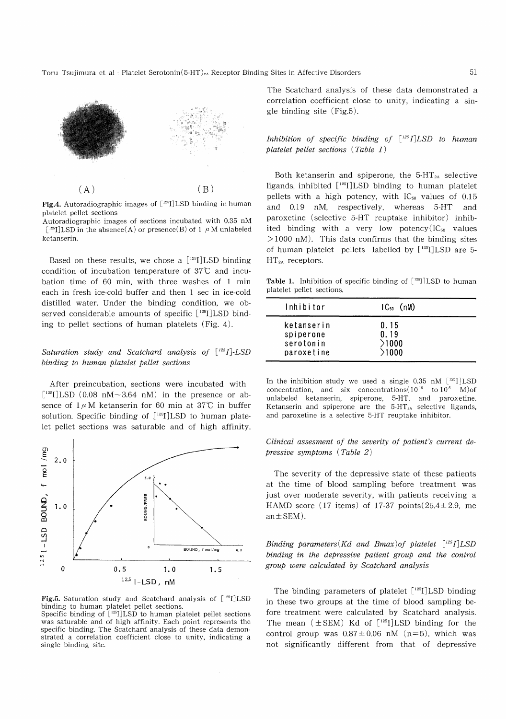Toru Tsujimura et al : Platelet Serotonin(5-HT)<sub>2A</sub> Receptor Binding Sites in Affective Disorders



Fig.4. Autoradiographic images of  $[125]$ LSD binding in human platelet pellet sections

Autoradiographic images of sections incubated with 0.35 nM  $\lceil$ <sup>125</sup>I]LSD in the absence(A) or presence(B) of 1  $\mu$  M unlabeled ketanserin.

Based on these results, we chose a  $[125]$ LSD binding condition of incubation temperature of 37°C and incubation time of 60 min, with three washes of 1 min each in fresh ice-cold buffer and then 1 sec in ice-cold distilled water. Under the binding condition, we observed considerable amounts of specific  $[125]$ LSD binding to pellet sections of human platelets (Fig. 4).

# Saturation study and Scatchard analysis of  $[125]$ -LSD binding to human platelet pellet sections

After preincubation, sections were incubated with  $[$ <sup>125</sup>I]LSD (0.08 nM~3.64 nM) in the presence or absence of  $1 \mu$ M ketanserin for 60 min at 37°C in buffer solution. Specific binding of  $[125]$ LSD to human platelet pellet sections was saturable and of high affinity.



Fig.5. Saturation study and Scatchard analysis of  $[125]$ LSD binding to human platelet pellet sections.

Specific binding of  $[$ <sup>125</sup>I]LSD to human platelet pellet sections was saturable and of high affinity. Each point represents the specific binding. The Scatchard analysis of these data demonstrated a correlation coefficient close to unity, indicating a single binding site.

The Scatchard analysis of these data demonstrated a correlation coefficient close to unity, indicating a single binding site (Fig.5).

Inhibition of specific binding of  $\lceil 125I \rceil$ LSD to human platelet pellet sections (Table 1)

Both ketanserin and spiperone, the  $5-HT_{2A}$  selective ligands, inhibited [125I]LSD binding to human platelet pellets with a high potency, with  $IC_{50}$  values of 0.15 and 0.19 nM, respectively, whereas 5-HT and paroxetine (selective 5-HT reuptake inhibitor) inhibited binding with a very low potency  $(IC_{50}$  values  $>1000$  nM). This data confirms that the binding sites of human platelet pellets labelled by  $[125]$  LSD are 5- $HT_{2A}$  receptors.

**Table 1.** Inhibition of specific binding of  $\lceil 125 \rceil$  LSD to human platelet pellet sections.

| lnhibitor                                          | $IC_{50}$ (nM)                 |  |
|----------------------------------------------------|--------------------------------|--|
| ketanserin<br>spiperone<br>serotonin<br>paroxetine | 0.15<br>0.19<br>>1000<br>>1000 |  |

In the inhibition study we used a single 0.35 nM  $[^{125}I]$ LSD concentration, and six concentrations( $10^{10}$  to  $10^5$  M)of unlabeled ketanserin, spiperone, 5-HT, and paroxetine. Ketanserin and spiperone are the  $5-HT<sub>2A</sub>$  selective ligands, and paroxetine is a selective 5-HT reuptake inhibitor.

## Clinical assesment of the severity of patient's current depressive symptoms (Table 2)

The severity of the depressive state of these patients at the time of blood sampling before treatment was just over moderate severity, with patients receiving a HAMD score (17 items) of 17-37 points  $(25.4 \pm 2.9, \text{me}$  $an \pm SEM$ ).

Binding parameters (Kd and Bmax) of platelet  $[125]$ LSD binding in the depressive patient group and the control group were calculated by Scatchard analysis

The binding parameters of platelet  $[125]$  LSD binding in these two groups at the time of blood sampling before treatment were calculated by Scatchard analysis. The mean  $(\pm$  SEM) Kd of [<sup>125</sup>I]LSD binding for the control group was  $0.87 \pm 0.06$  nM (n=5), which was not significantly different from that of depressive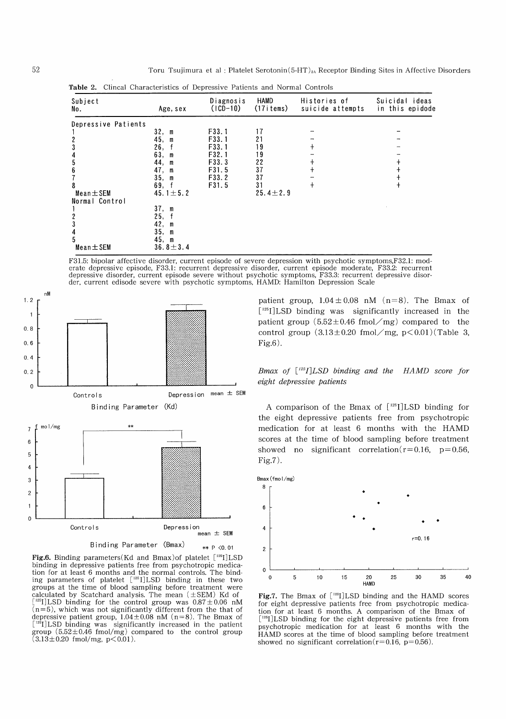| <b>Table 2.</b> Clincal Characteristics of Depressive Patients and Normal Controls |                |                         |                   |                                  |                                   |  |  |
|------------------------------------------------------------------------------------|----------------|-------------------------|-------------------|----------------------------------|-----------------------------------|--|--|
| Subject<br>No.                                                                     | Age, sex       | Diagnosis<br>$(1CD-10)$ | HAMD<br>(17items) | Histories of<br>suicide attempts | Suicidal ideas<br>in this epidode |  |  |
| Depressive Patients                                                                |                |                         |                   |                                  |                                   |  |  |
|                                                                                    | 32, m          | F33.1                   | 17                |                                  |                                   |  |  |
|                                                                                    | 45, m          | F <sub>3</sub> 3.1      | 21                |                                  |                                   |  |  |
|                                                                                    | 26,            | F33.1                   | 19                |                                  |                                   |  |  |
|                                                                                    | 63. m          | F32.1                   | 19                |                                  |                                   |  |  |
|                                                                                    | 44, m          | F33.3                   | 22                |                                  |                                   |  |  |
|                                                                                    | 47,<br>m       | F31.5                   | 37                |                                  |                                   |  |  |
|                                                                                    | 35. m          | F33.2                   | 37                |                                  |                                   |  |  |
|                                                                                    | 69, f          | F31.5                   | 31                | $^{+}$                           |                                   |  |  |
| Mean $\pm$ SEM                                                                     | 45.1 $\pm$ 5.2 |                         | $25.4 \pm 2.9$    |                                  |                                   |  |  |
| Normal Control                                                                     |                |                         |                   |                                  |                                   |  |  |
|                                                                                    | 37, m          |                         |                   |                                  |                                   |  |  |
|                                                                                    | 25.            |                         |                   |                                  |                                   |  |  |
|                                                                                    | 42, m          |                         |                   |                                  |                                   |  |  |
|                                                                                    | 35, m          |                         |                   |                                  |                                   |  |  |
|                                                                                    | 45, m          |                         |                   |                                  |                                   |  |  |
| $Mean \pm SEM$                                                                     | $36.8 \pm 3.4$ |                         |                   |                                  |                                   |  |  |

F31.5: bipolar affective disorder, current episode of severe depression with psychotic symptoms,F32.1: moderate depressive episode, F33.1: recurrent depressive disorder, current episode moderate, F33.2: recurrent depressive disorder, current episode severe without psychotic symptoms, F33.3: recurrent depressive disorder, current edisode severe with psychotic symptoms, HAMD: Hamilton Depression Scale



**Fig.6.** Binding parameters(Kd and Bmax)of platelet  $\lceil 125 \rceil$  LSD binding in depressive patients free from psychotropic medication for at least 6 months and the normal controls. The binding parameters of platelet  $[$ <sup>125</sup>I]LSD binding in these two groups at the time of blood sampling before treatment were calculated by Scatchard analysis. The mean  $(\pm$ SEM) Kd of  $[$ <sup>125</sup>I] LSD binding for the control group was  $0.87 \pm 0.06$  nM  $(n=5)$ , which was not significantly different from the that of depressive patient group,  $1.04 \pm 0.08$  nM (n=8). The Bmax of  $[1^{25}I]$ LSD binding was significantly increased in the patien group  $(5.52\pm0.46 \text{ fmol/mg})$  compared to the control group  $(3.13 \pm 0.20 \text{ fmol/mg}, \text{p} < 0.01)$ .

patient group,  $1.04 \pm 0.08$  nM (n=8). The Bmax of [<sup>125</sup>I] LSD binding was significantly increased in the patient group  $(5.52 \pm 0.46 \text{ fmol} / \text{mg})$  compared to the control group  $(3.13\pm0.20 \text{ fmol}/\text{mg}, \text{p} < 0.01)(\text{Table 3},$ Fig.6).

Bmax of  $[$ <sup>125</sup>I]LSD binding and the HAMD score for eight depressive patients

A comparison of the Bmax of  $[125]$  LSD binding for the eight depressive patients free from psychotropic medication for at least 6 months with the HAMD scores at the time of blood sampling before treatment showed no significant correlation  $(r=0.16, p=0.56,$ Fig.7).



Fig.7. The Bmax of  $[$ <sup>125</sup>I]LSD binding and the HAMD scores for eight depressive patients free from psychotropic medication for at least 6 months. A comparison of the Bmax of  $^{125}$ []LSD binding for the eight depressive patients free from psychotropic medication for at least 6 months with the HAMD scores at the time of blood sampling before treatment showed no significant correlation( $r=0.16$ ,  $p=0.56$ ).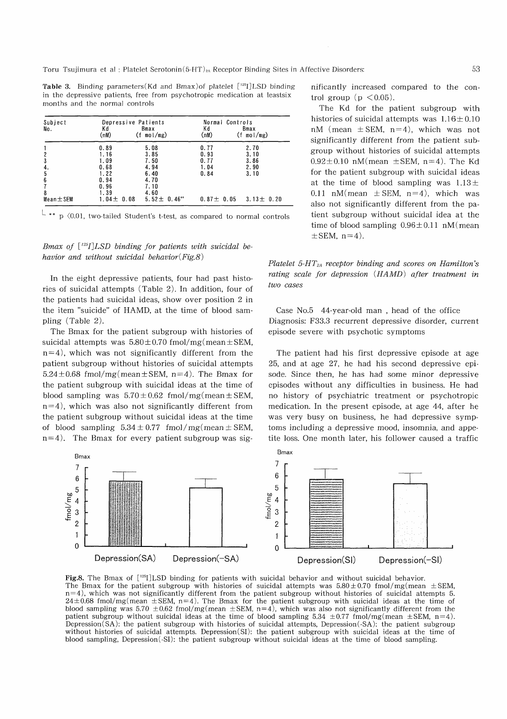Toru Tsujimura et al : Platelet Serotonin(5-HT)<sub>2</sub>, Receptor Binding Sites in Affective Disorders:

**Table 3.** Binding parameters(Kd and Bmax) of platelet  $[125]$  LSD binding in the depressive patients, free from psychotropic medication at leastsix months and the normal controls

| Subject        |                 | Depressive Patients   |                 | Normal Controls       |  |
|----------------|-----------------|-----------------------|-----------------|-----------------------|--|
| No.            | Κd<br>(nM)      | Bmax<br>$(f \mod/mg)$ | Κd<br>(nM)      | Bmax<br>$(f \mod/mg)$ |  |
|                | 0.89            | 5.08                  | 0.77            | 2.70                  |  |
|                | 1.16            | 3.85                  | 0.93            | 3.10                  |  |
| 3              | 1.09            | 7.50                  | 0.77            | 3.86                  |  |
| 4.             | 0.68            | 4.94                  | 1.04            | 2.90                  |  |
| 5              | 1.22            | 6.40                  | 0.84            | 3.10                  |  |
| 6              | 0.94            | 4.70                  |                 |                       |  |
|                | 0.96            | 7.10                  |                 |                       |  |
| 8              | 1.39            | 4.60                  |                 |                       |  |
| $Mean \pm SEM$ | $1.04 \pm 0.08$ | $5.52 \pm 0.46$ "     | $0.87 \pm 0.05$ | $3.13 \pm 0.20$       |  |

 $p \ (0.01, two-tailed Student's t-test, as compared to normal controls)$ 

# Bmax of  $\lceil$ <sup>125</sup>I]LSD binding for patients with suicidal behavior and without suicidal behavior( $Fig.8$ )

In the eight depressive patients, four had past histories of suicidal attempts (Table 2). In addition, four of the patients had suicidal ideas, show over position 2 in the item "suicide" of HAMD, at the time of blood sampling (Table 2).

The Bmax for the patient subgroup with histories of suicidal attempts was  $5.80 \pm 0.70$  fmol/mg(mean  $\pm$  SEM,  $n=4$ ), which was not significantly different from the patient subgroup without histories of suicidal attempts  $5.24 \pm 0.68$  fmol/mg(mean  $\pm$  SEM, n=4). The Bmax for the patient subgroup with suicidal ideas at the time of blood sampling was  $5.70 \pm 0.62$  fmol/mg(mean  $\pm$  SEM,  $n=4$ ), which was also not significantly different from the patient subgroup without suicidal ideas at the time of blood sampling  $5.34 \pm 0.77$  fmol/mg(mean  $\pm$  SEM,  $n=4$ ). The Bmax for every patient subgroup was sig-



**Fig.8.** The Bmax of  $\left[\right]$ <sup>125</sup>I]LSD binding for patients with suicidal behavior and without suicidal behavior. The Bmax for the patient subgroup with histories of suicidal attempts was  $5.80 \pm 0.70$  fmol/mg(mean  $\pm$ SEM, n=4), which was not significantly different from the patient subgroup without histories of suicidal attempts 5.  $24\pm0.68$  fmol/mg(mean  $\pm$ SEM, n=4). The Bmax for the patient subgroup with suicidal ideas at the time of blood sampling was 5.70  $\pm$ 0.62 fmol/mg(mean  $\pm$ SEM, n=4), which was also not significantly different from the patient subgroup without suicidal ideas at the time of blood sampling 5.34  $\pm$ 0.77 fmol/mg(mean  $\pm$ SEM, n=4). Depression(SA): the patient subgroup with histories of suicidal attempts, Depression(-SA): the patient subgroup without histories of suicidal attempts. Depression(SI): the patient subgroup with suicidal ideas at the time of blood sampling, Depression(-SI): the patient subgroup without suicidal ideas at the time of blood sampling.

nificantly increased compared to the control group ( $p < 0.05$ ).

The Kd for the patient subgroup with histories of suicidal attempts was  $1.16 \pm 0.10$ nM (mean  $\pm$  SEM, n=4), which was not significantly different from the patient subgroup without histories of suicidal attempts  $0.92 \pm 0.10$  nM(mean  $\pm$  SEM, n=4). The Kd for the patient subgroup with suicidal ideas at the time of blood sampling was  $1.13 \pm$ 0.11 nM(mean  $\pm$  SEM, n=4), which was also not significantly different from the patient subgroup without suicidal idea at the time of blood sampling  $0.96 \pm 0.11$  nM (mean  $\pm$ SEM, n=4).

Platelet  $5-T_{2A}$  receptor binding and scores on Hamilton's rating scale for depression (HAMD) after treatment in two cases

Case No.5 44-year-old man , head of the office Diagnosis: F33.3 recurrent depressive disorder, current episode severe with psychotic symptoms

The patient had his first depressive episode at age 25, and at age 27, he had his second depressive episode. Since then, he has had some minor depressive episodes without any difficulties in business. He had no history of psychiatric treatment or psychotropic medication. In the present episode, at age 44, after he was very busy on business, he had depressive symptoms including a depressive mood, insomnia, and appetite loss. One month later, his follower caused a traffic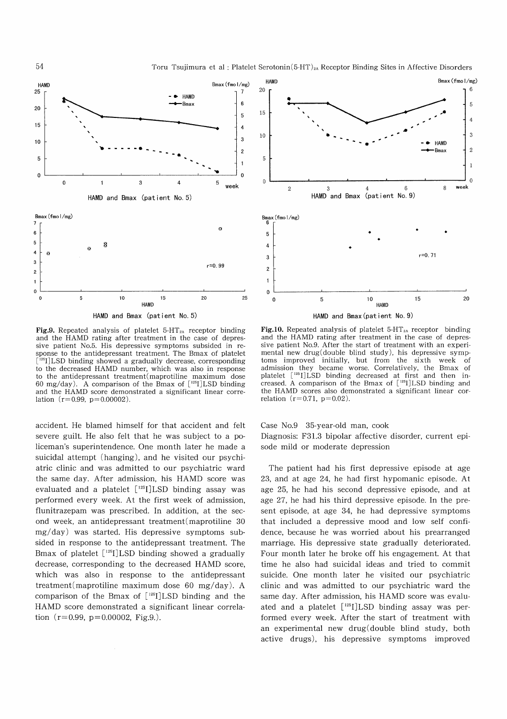



HAMD and Bmax (patient No. 5)

**Fig.9.** Repeated analysis of platelet  $5-HT_{2A}$  receptor binding and the HAMD rating after treatment in the case of depressive patient No.5. His depressive symptoms subsided in response to the antidepressant treatment. The Bmax of platelet <sup>25</sup>I]LSD binding showed a gradually decrease, corresponding to the decreased HAMD number, which was also in response to the antidepressant treatment(maprotiline maximum dose 60 mg/day). A comparison of the Bmax of  $[125]$ LSD binding and the HAMD score demonstrated a significant linear correlation  $(r= 0.99, p= 0.00002)$ .

accident. He blamed himself for that accident and felt severe guilt. He also felt that he was subject to a policeman's superintendence. One month later he made a suicidal attempt (hanging), and he visited our psychiatric clinic and was admitted to our psychiatric ward the same day. After admission, his HAMD score was evaluated and a platelet [<sup>125</sup>I]LSD binding assay was performed every week. At the first week of admission, flunitrazepam was prescribed. In addition, at the second week, an antidepressant treatment(maprotiline 30 mg/day) was started. His depressive symptoms subsided in response to the antidepressant treatment. The Bmax of platelet  $[125]$ LSD binding showed a gradually decrease, corresponding to the decreased HAMD score, which was also in response to the antidepressant treatment(maprotiline maximum dose 60 mg/day). A comparison of the Bmax of  $[$ <sup>125</sup>I]LSD binding and the HAMD score demonstrated a significant linear correlation  $(r=0.99, p=0.00002, Fig.9.)$ .



**Fig.10.** Repeated analysis of platelet  $5-HT_{2A}$  receptor binding and the HAMD rating after treatment in the case of depressive patient No.9. After the start of treatment with an experimental new drug(double blind study), his depressive symptoms improved initially, but from the sixth week of admission they became worse. Correlatively, the Bmax of platelet [125I] LSD binding decreased at first and then increased. A comparison of the Bmax of  $[$ <sup>125</sup>I]LSD binding and the HAMD scores also demonstrated a significant linear correlation  $(r=0.71, p=0.02)$ .

Case No.9 35-year-old man, cook Diagnosis: F31.3 bipolar affective disorder, current episode mild or moderate depression

The patient had his first depressive episode at age 23, and at age 24, he had first hypomanic episode. At age 25, he had his second depressive episode, and at age 27, he had his third depressive episode. In the present episode, at age 34, he had depressive symptoms that included a depressive mood and low self confidence, because he was worried about his prearranged marriage. His depressive state gradually deteriorated. Four month later he broke off his engagement. At that time he also had suicidal ideas and tried to commit suicide. One month later he visited our psychiatric clinic and was admitted to our psychiatric ward the same day. After admission, his HAMD score was evaluated and a platelet  $[$ <sup>125</sup>I]LSD binding assay was performed every week. After the start of treatment with an experimental new drug (double blind study, both active drugs), his depressive symptoms improved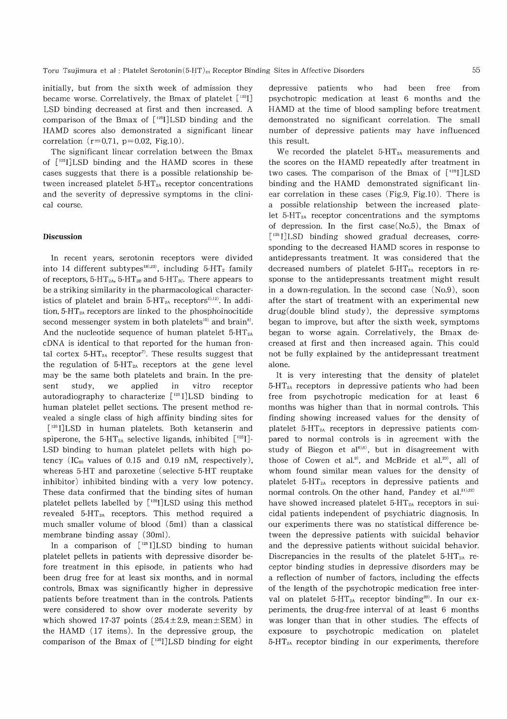initially, but from the sixth week of admission they became worse. Correlatively, the Bmax of platelet  $\lceil$ <sup>125</sup>I] LSD binding decreased at first and then increased. A comparison of the Bmax of  $\lceil 125 \rceil$  LSD binding and the HAMD scores also demonstrated a significant linear correlation  $(r=0.71, p=0.02, Fig.10)$ .

The significant linear correlation between the Bmax of  $[125]$  LSD binding and the HAMD scores in these cases suggests that there is a possible relationship between increased platelet  $5-HT_{2A}$  receptor concentrations and the severity of depressive symptoms in the clinical course.

#### Discussion

 In recent years, serotonin receptors were divided into 14 different subtypes<sup>18),23)</sup>, including  $5-HT_2$  family of receptors, 5-HT<sub>2A</sub>, 5-HT<sub>2B</sub> and 5-HT<sub>2C</sub>. There appears to be a striking similarity in the pharmacological characteristics of platelet and brain 5-HT<sub>2A</sub> receptors<sup>2),12</sup>. In addition,  $5-HT<sub>2A</sub>$  receptors are linked to the phosphoinocitide second messenger system in both platelets<sup>10)</sup> and brain<sup>8)</sup>. And the nucleotide sequence of human platelet  $5-HT_{2A}$ cDNA is identical to that reported for the human frontal cortex  $5-HT_{2A}$  receptor<sup>7)</sup>. These results suggest that the regulation of  $5-HT_{2A}$  receptors at the gene level may be the same both platelets and brain. In the present study, we applied in vitro receptor autoradiography to characterize [<sup>125</sup> I]LSD binding to human platelet pellet sections. The present method revealed a single class of high affinity binding sites for [<sup>125</sup>I]LSD in human platelets. Both ketanserin and spiperone, the 5-HT<sub>2A</sub> selective ligands, inhibited  $\left[ \begin{smallmatrix} 125 \ 125 \end{smallmatrix} \right]$ -LSD binding to human platelet pellets with high potency (IC<sub>50</sub> values of 0.15 and 0.19 nM, respectively), whereas 5-HT and paroxetine (selective 5-HT reuptake inhibitor) inhibited binding with a very low potency. These data confirmed that the binding sites of human platelet pellets labelled by [<sup>125</sup>I]LSD using this method revealed  $5-HT<sub>2A</sub>$  receptors. This method required a much smaller volume of blood (5ml) than a classical membrane binding assay (30m1).

In a comparison of  $[125]$ LSD binding to human platelet pellets in patients with depressive disorder before treatment in this episode, in patients who had been drug free for at least six months, and in normal controls, Bmax was significantly higher in depressive patients before treatment than in the controls. Patients were considered to show over moderate severity by which showed 17-37 points  $(25.4 \pm 2.9, \text{mean} \pm \text{SEM})$  in the HAMD (17 items). In the depressive group, the comparison of the Bmax of  $[1^{25}I]$ LSD binding for eight

depressive patients who had been free from psychotropic medication at least 6 months and the HAMD at the time of blood sampling before treatment demonstrated no significant correlation. The small number of depressive patients may have influenced this result.

We recorded the platelet  $5-HT_{2A}$  measurements and the scores on the HAMD repeatedly after treatment in two cases. The comparison of the Bmax of  $[125]$ LSD binding and the HAMD demonstrated significant linear correlation in these cases (Fig.9, Fig.10). There is a possible relationship between the increased platelet  $5-HT_{2A}$  receptor concentrations and the symptoms of depression. In the first case  $(No.5)$ , the Bmax of  $[1^{25}$  I] LSD binding showed gradual decreases, corresponding to the decreased HAMD scores in response to antidepressants treatment. It was considered that the decreased numbers of platelet  $5-\text{HT}_{2A}$  receptors in response to the antidepressants treatment might result in a down-regulation. In the second case (No.9), soon after the start of treatment with an experimental new drug(double blind study), the depressive symptoms began to improve, but after the sixth week, symptoms began to worse again. Correlatively, the Bmax decreased at first and then increased again. This could not be fully explained by the antidepressant treatment alone.

It is very interesting that the density of platelet  $5-HT<sub>2A</sub>$  receptors in depressive patients who had been free from psychotropic medication for at least 6 months was higher than that in normal controls. This finding showing increased values for the density of platelet 5-HT2A receptors in depressive patients compared to normal controls is in agreement with the study of Biegon et  $aI<sub>5,6</sub>$ , but in disagreement with those of Cowen et al.<sup>9)</sup>, and McBride et al.<sup>20)</sup>, all of whom found similar mean values for the density of platelet 5-HT2A receptors in depressive patients and normal controls. On the other hand, Pandey et  $al.^{21,22)}$ have showed increased platelet  $5-HT_{2A}$  receptors in suicidal patients independent of psychiatric diagnosis. In our experiments there was no statistical difference between the depressive patients with suicidal behavior and the depressive patients without suicidal behavior. Discrepancies in the results of the platelet  $5-HT_{2A}$  receptor binding studies in depressive disorders may be a reflection of number of factors, including the effects of the length of the psychotropic medication free interval on platelet  $5-HT_{2A}$  receptor binding<sup>20)</sup>. In our experiments, the drug-free interval of at least 6 months was longer than that in other studies. The effects of exposure to psychotropic medication on platelet  $5-\text{HT}_{2A}$  receptor binding in our experiments, therefore